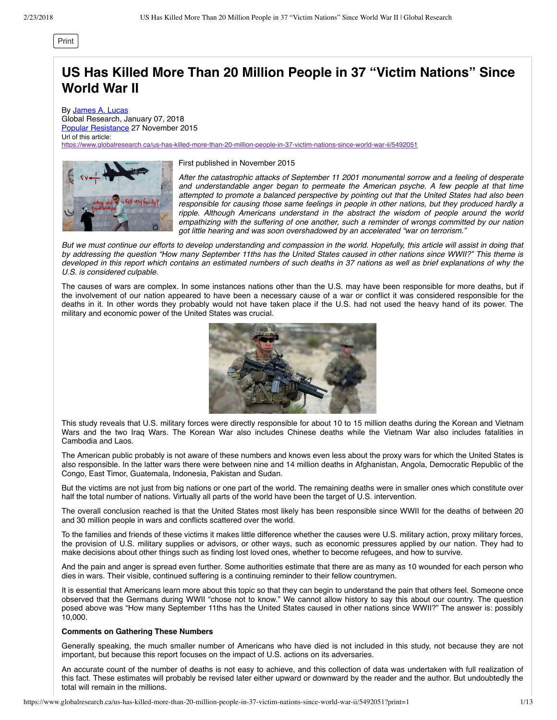[Print](javascript:window.print())

# **US Has Killed More Than 20 Million People in 37 "Victim Nations" Since World War II**

By [James A. Lucas](https://www.globalresearch.ca/author/james-a-lucas) Global Research, January 07, 2018 [Popular Resistance](https://www.popularresistance.org/us-has-killed-more-than-20-million-in-37-nations-since-wwii/) 27 November 2015 Url of this article: <https://www.globalresearch.ca/us-has-killed-more-than-20-million-people-in-37-victim-nations-since-world-war-ii/5492051>



First published in November 2015

*After the catastrophic attacks of September 11 2001 monumental sorrow and a feeling of desperate and understandable anger began to permeate the American psyche. A few people at that time attempted to promote a balanced perspective by pointing out that the United States had also been responsible for causing those same feelings in people in other nations, but they produced hardly a ripple. Although Americans understand in the abstract the wisdom of people around the world empathizing with the suffering of one another, such a reminder of wrongs committed by our nation got little hearing and was soon overshadowed by an accelerated "war on terrorism."*

*But we must continue our efforts to develop understanding and compassion in the world. Hopefully, this article will assist in doing that by addressing the question "How many September 11ths has the United States caused in other nations since WWII?" This theme is developed in this report which contains an estimated numbers of such deaths in 37 nations as well as brief explanations of why the U.S. is considered culpable.*

The causes of wars are complex. In some instances nations other than the U.S. may have been responsible for more deaths, but if the involvement of our nation appeared to have been a necessary cause of a war or conflict it was considered responsible for the deaths in it. In other words they probably would not have taken place if the U.S. had not used the heavy hand of its power. The military and economic power of the United States was crucial.



This study reveals that U.S. military forces were directly responsible for about 10 to 15 million deaths during the Korean and Vietnam Wars and the two Iraq Wars. The Korean War also includes Chinese deaths while the Vietnam War also includes fatalities in Cambodia and Laos.

The American public probably is not aware of these numbers and knows even less about the proxy wars for which the United States is also responsible. In the latter wars there were between nine and 14 million deaths in Afghanistan, Angola, Democratic Republic of the Congo, East Timor, Guatemala, Indonesia, Pakistan and Sudan.

But the victims are not just from big nations or one part of the world. The remaining deaths were in smaller ones which constitute over half the total number of nations. Virtually all parts of the world have been the target of U.S. intervention.

The overall conclusion reached is that the United States most likely has been responsible since WWII for the deaths of between 20 and 30 million people in wars and conflicts scattered over the world.

To the families and friends of these victims it makes little difference whether the causes were U.S. military action, proxy military forces, the provision of U.S. military supplies or advisors, or other ways, such as economic pressures applied by our nation. They had to make decisions about other things such as finding lost loved ones, whether to become refugees, and how to survive.

And the pain and anger is spread even further. Some authorities estimate that there are as many as 10 wounded for each person who dies in wars. Their visible, continued suffering is a continuing reminder to their fellow countrymen.

It is essential that Americans learn more about this topic so that they can begin to understand the pain that others feel. Someone once observed that the Germans during WWII "chose not to know." We cannot allow history to say this about our country. The question posed above was "How many September 11ths has the United States caused in other nations since WWII?" The answer is: possibly 10,000.

# **Comments on Gathering These Numbers**

Generally speaking, the much smaller number of Americans who have died is not included in this study, not because they are not important, but because this report focuses on the impact of U.S. actions on its adversaries.

An accurate count of the number of deaths is not easy to achieve, and this collection of data was undertaken with full realization of this fact. These estimates will probably be revised later either upward or downward by the reader and the author. But undoubtedly the total will remain in the millions.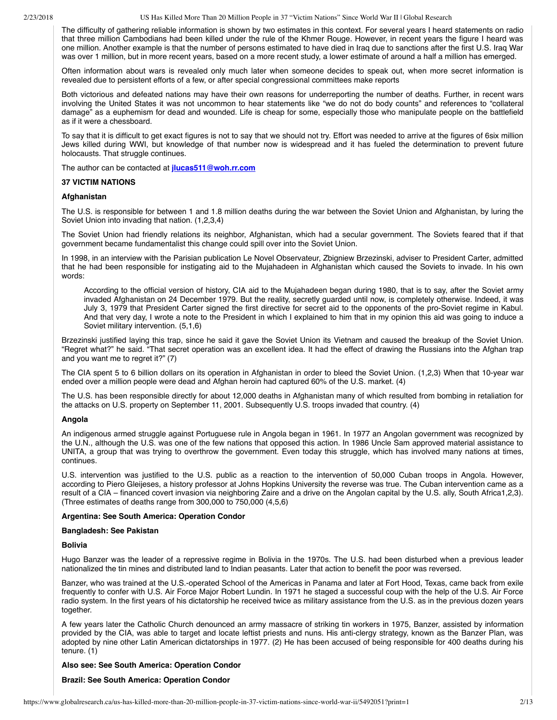The difficulty of gathering reliable information is shown by two estimates in this context. For several years I heard statements on radio that three million Cambodians had been killed under the rule of the Khmer Rouge. However, in recent years the figure I heard was one million. Another example is that the number of persons estimated to have died in Iraq due to sanctions after the first U.S. Iraq War was over 1 million, but in more recent years, based on a more recent study, a lower estimate of around a half a million has emerged.

Often information about wars is revealed only much later when someone decides to speak out, when more secret information is revealed due to persistent efforts of a few, or after special congressional committees make reports

Both victorious and defeated nations may have their own reasons for underreporting the number of deaths. Further, in recent wars involving the United States it was not uncommon to hear statements like "we do not do body counts" and references to "collateral damage" as a euphemism for dead and wounded. Life is cheap for some, especially those who manipulate people on the battlefield as if it were a chessboard.

To say that it is difficult to get exact figures is not to say that we should not try. Effort was needed to arrive at the figures of 6six million Jews killed during WWI, but knowledge of that number now is widespread and it has fueled the determination to prevent future holocausts. That struggle continues.

The author can be contacted at **[jlucas511@woh.rr.com](mailto:jlucas511@woh.rr.com)**

## **37 VICTIM NATIONS**

## **Afghanistan**

The U.S. is responsible for between 1 and 1.8 million deaths during the war between the Soviet Union and Afghanistan, by luring the Soviet Union into invading that nation. (1,2,3,4)

The Soviet Union had friendly relations its neighbor, Afghanistan, which had a secular government. The Soviets feared that if that government became fundamentalist this change could spill over into the Soviet Union.

In 1998, in an interview with the Parisian publication Le Novel Observateur, Zbigniew Brzezinski, adviser to President Carter, admitted that he had been responsible for instigating aid to the Mujahadeen in Afghanistan which caused the Soviets to invade. In his own words:

According to the official version of history, CIA aid to the Mujahadeen began during 1980, that is to say, after the Soviet army invaded Afghanistan on 24 December 1979. But the reality, secretly guarded until now, is completely otherwise. Indeed, it was July 3, 1979 that President Carter signed the first directive for secret aid to the opponents of the pro-Soviet regime in Kabul. And that very day, I wrote a note to the President in which I explained to him that in my opinion this aid was going to induce a Soviet military intervention. (5,1,6)

Brzezinski justified laying this trap, since he said it gave the Soviet Union its Vietnam and caused the breakup of the Soviet Union. "Regret what?" he said. "That secret operation was an excellent idea. It had the effect of drawing the Russians into the Afghan trap and you want me to regret it?" (7)

The CIA spent 5 to 6 billion dollars on its operation in Afghanistan in order to bleed the Soviet Union. (1,2,3) When that 10-year war ended over a million people were dead and Afghan heroin had captured 60% of the U.S. market. (4)

The U.S. has been responsible directly for about 12,000 deaths in Afghanistan many of which resulted from bombing in retaliation for the attacks on U.S. property on September 11, 2001. Subsequently U.S. troops invaded that country. (4)

#### **Angola**

An indigenous armed struggle against Portuguese rule in Angola began in 1961. In 1977 an Angolan government was recognized by the U.N., although the U.S. was one of the few nations that opposed this action. In 1986 Uncle Sam approved material assistance to UNITA, a group that was trying to overthrow the government. Even today this struggle, which has involved many nations at times, continues.

U.S. intervention was justified to the U.S. public as a reaction to the intervention of 50,000 Cuban troops in Angola. However, according to Piero Gleijeses, a history professor at Johns Hopkins University the reverse was true. The Cuban intervention came as a result of a CIA – financed covert invasion via neighboring Zaire and a drive on the Angolan capital by the U.S. ally, South Africa1,2,3). (Three estimates of deaths range from 300,000 to 750,000 (4,5,6)

## **Argentina: See South America: Operation Condor**

#### **Bangladesh: See Pakistan**

## **Bolivia**

Hugo Banzer was the leader of a repressive regime in Bolivia in the 1970s. The U.S. had been disturbed when a previous leader nationalized the tin mines and distributed land to Indian peasants. Later that action to benefit the poor was reversed.

Banzer, who was trained at the U.S.-operated School of the Americas in Panama and later at Fort Hood, Texas, came back from exile frequently to confer with U.S. Air Force Major Robert Lundin. In 1971 he staged a successful coup with the help of the U.S. Air Force radio system. In the first years of his dictatorship he received twice as military assistance from the U.S. as in the previous dozen years together.

A few years later the Catholic Church denounced an army massacre of striking tin workers in 1975, Banzer, assisted by information provided by the CIA, was able to target and locate leftist priests and nuns. His anti-clergy strategy, known as the Banzer Plan, was adopted by nine other Latin American dictatorships in 1977. (2) He has been accused of being responsible for 400 deaths during his tenure. (1)

## **Also see: See South America: Operation Condor**

## **Brazil: See South America: Operation Condor**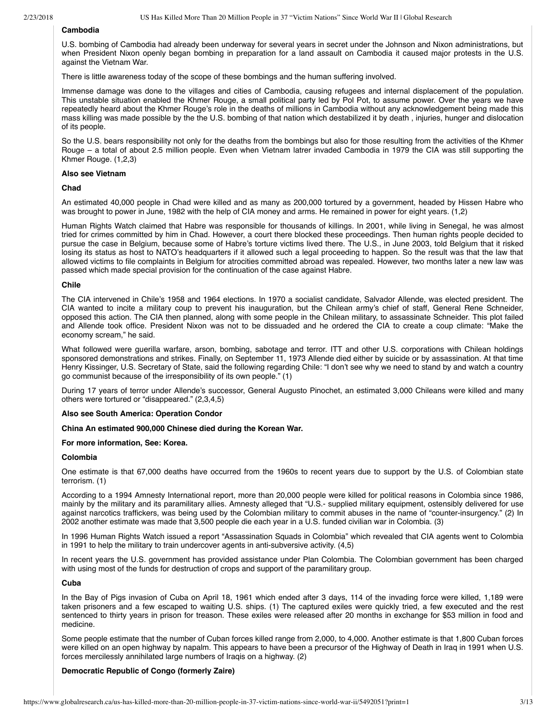# **Cambodia**

U.S. bombing of Cambodia had already been underway for several years in secret under the Johnson and Nixon administrations, but when President Nixon openly began bombing in preparation for a land assault on Cambodia it caused major protests in the U.S. against the Vietnam War.

There is little awareness today of the scope of these bombings and the human suffering involved.

Immense damage was done to the villages and cities of Cambodia, causing refugees and internal displacement of the population. This unstable situation enabled the Khmer Rouge, a small political party led by Pol Pot, to assume power. Over the years we have repeatedly heard about the Khmer Rouge's role in the deaths of millions in Cambodia without any acknowledgement being made this mass killing was made possible by the the U.S. bombing of that nation which destabilized it by death , injuries, hunger and dislocation of its people.

So the U.S. bears responsibility not only for the deaths from the bombings but also for those resulting from the activities of the Khmer Rouge – a total of about 2.5 million people. Even when Vietnam latrer invaded Cambodia in 1979 the CIA was still supporting the Khmer Rouge. (1,2,3)

## **Also see Vietnam**

# **Chad**

An estimated 40,000 people in Chad were killed and as many as 200,000 tortured by a government, headed by Hissen Habre who was brought to power in June, 1982 with the help of CIA money and arms. He remained in power for eight years. (1,2)

Human Rights Watch claimed that Habre was responsible for thousands of killings. In 2001, while living in Senegal, he was almost tried for crimes committed by him in Chad. However, a court there blocked these proceedings. Then human rights people decided to pursue the case in Belgium, because some of Habre's torture victims lived there. The U.S., in June 2003, told Belgium that it risked losing its status as host to NATO's headquarters if it allowed such a legal proceeding to happen. So the result was that the law that allowed victims to file complaints in Belgium for atrocities committed abroad was repealed. However, two months later a new law was passed which made special provision for the continuation of the case against Habre.

## **Chile**

The CIA intervened in Chile's 1958 and 1964 elections. In 1970 a socialist candidate, Salvador Allende, was elected president. The CIA wanted to incite a military coup to prevent his inauguration, but the Chilean army's chief of staff, General Rene Schneider, opposed this action. The CIA then planned, along with some people in the Chilean military, to assassinate Schneider. This plot failed and Allende took office. President Nixon was not to be dissuaded and he ordered the CIA to create a coup climate: "Make the economy scream," he said.

What followed were guerilla warfare, arson, bombing, sabotage and terror. ITT and other U.S. corporations with Chilean holdings sponsored demonstrations and strikes. Finally, on September 11, 1973 Allende died either by suicide or by assassination. At that time Henry Kissinger, U.S. Secretary of State, said the following regarding Chile: "I don't see why we need to stand by and watch a country go communist because of the irresponsibility of its own people." (1)

During 17 years of terror under Allende's successor, General Augusto Pinochet, an estimated 3,000 Chileans were killed and many others were tortured or "disappeared." (2,3,4,5)

#### **Also see South America: Operation Condor**

**China An estimated 900,000 Chinese died during the Korean War.**

## **For more information, See: Korea.**

## **Colombia**

One estimate is that 67,000 deaths have occurred from the 1960s to recent years due to support by the U.S. of Colombian state terrorism. (1)

According to a 1994 Amnesty International report, more than 20,000 people were killed for political reasons in Colombia since 1986, mainly by the military and its paramilitary allies. Amnesty alleged that "U.S.- supplied military equipment, ostensibly delivered for use against narcotics traffickers, was being used by the Colombian military to commit abuses in the name of "counter-insurgency." (2) In 2002 another estimate was made that 3,500 people die each year in a U.S. funded civilian war in Colombia. (3)

In 1996 Human Rights Watch issued a report "Assassination Squads in Colombia" which revealed that CIA agents went to Colombia in 1991 to help the military to train undercover agents in anti-subversive activity. (4,5)

In recent years the U.S. government has provided assistance under Plan Colombia. The Colombian government has been charged with using most of the funds for destruction of crops and support of the paramilitary group.

### **Cuba**

In the Bay of Pigs invasion of Cuba on April 18, 1961 which ended after 3 days, 114 of the invading force were killed, 1,189 were taken prisoners and a few escaped to waiting U.S. ships. (1) The captured exiles were quickly tried, a few executed and the rest sentenced to thirty years in prison for treason. These exiles were released after 20 months in exchange for \$53 million in food and medicine.

Some people estimate that the number of Cuban forces killed range from 2,000, to 4,000. Another estimate is that 1,800 Cuban forces were killed on an open highway by napalm. This appears to have been a precursor of the Highway of Death in Iraq in 1991 when U.S. forces mercilessly annihilated large numbers of Iraqis on a highway. (2)

## **Democratic Republic of Congo (formerly Zaire)**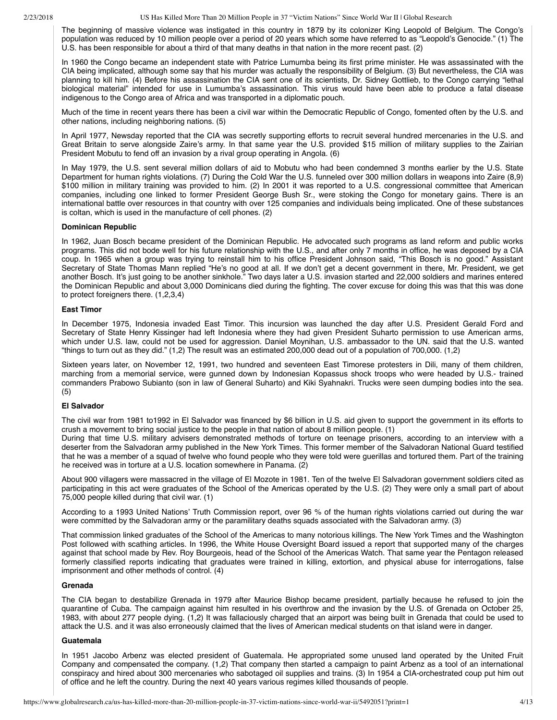The beginning of massive violence was instigated in this country in 1879 by its colonizer King Leopold of Belgium. The Congo's population was reduced by 10 million people over a period of 20 years which some have referred to as "Leopold's Genocide." (1) The U.S. has been responsible for about a third of that many deaths in that nation in the more recent past. (2)

In 1960 the Congo became an independent state with Patrice Lumumba being its first prime minister. He was assassinated with the CIA being implicated, although some say that his murder was actually the responsibility of Belgium. (3) But nevertheless, the CIA was planning to kill him. (4) Before his assassination the CIA sent one of its scientists, Dr. Sidney Gottlieb, to the Congo carrying "lethal biological material" intended for use in Lumumba's assassination. This virus would have been able to produce a fatal disease indigenous to the Congo area of Africa and was transported in a diplomatic pouch.

Much of the time in recent years there has been a civil war within the Democratic Republic of Congo, fomented often by the U.S. and other nations, including neighboring nations. (5)

In April 1977, Newsday reported that the CIA was secretly supporting efforts to recruit several hundred mercenaries in the U.S. and Great Britain to serve alongside Zaire's army. In that same year the U.S. provided \$15 million of military supplies to the Zairian President Mobutu to fend off an invasion by a rival group operating in Angola. (6)

In May 1979, the U.S. sent several million dollars of aid to Mobutu who had been condemned 3 months earlier by the U.S. State Department for human rights violations. (7) During the Cold War the U.S. funneled over 300 million dollars in weapons into Zaire (8,9) \$100 million in military training was provided to him. (2) In 2001 it was reported to a U.S. congressional committee that American companies, including one linked to former President George Bush Sr., were stoking the Congo for monetary gains. There is an international battle over resources in that country with over 125 companies and individuals being implicated. One of these substances is coltan, which is used in the manufacture of cell phones. (2)

## **Dominican Republic**

In 1962, Juan Bosch became president of the Dominican Republic. He advocated such programs as land reform and public works programs. This did not bode well for his future relationship with the U.S., and after only 7 months in office, he was deposed by a CIA coup. In 1965 when a group was trying to reinstall him to his office President Johnson said, "This Bosch is no good." Assistant Secretary of State Thomas Mann replied "He's no good at all. If we don't get a decent government in there, Mr. President, we get another Bosch. It's just going to be another sinkhole." Two days later a U.S. invasion started and 22,000 soldiers and marines entered the Dominican Republic and about 3,000 Dominicans died during the fighting. The cover excuse for doing this was that this was done to protect foreigners there. (1,2,3,4)

## **East Timor**

In December 1975, Indonesia invaded East Timor. This incursion was launched the day after U.S. President Gerald Ford and Secretary of State Henry Kissinger had left Indonesia where they had given President Suharto permission to use American arms, which under U.S. law, could not be used for aggression. Daniel Moynihan, U.S. ambassador to the UN. said that the U.S. wanted "things to turn out as they did." (1,2) The result was an estimated 200,000 dead out of a population of 700,000. (1,2)

Sixteen years later, on November 12, 1991, two hundred and seventeen East Timorese protesters in Dili, many of them children, marching from a memorial service, were gunned down by Indonesian Kopassus shock troops who were headed by U.S.- trained commanders Prabowo Subianto (son in law of General Suharto) and Kiki Syahnakri. Trucks were seen dumping bodies into the sea. (5)

## **El Salvador**

The civil war from 1981 to1992 in El Salvador was financed by \$6 billion in U.S. aid given to support the government in its efforts to crush a movement to bring social justice to the people in that nation of about 8 million people. (1)

During that time U.S. military advisers demonstrated methods of torture on teenage prisoners, according to an interview with a deserter from the Salvadoran army published in the New York Times. This former member of the Salvadoran National Guard testified that he was a member of a squad of twelve who found people who they were told were guerillas and tortured them. Part of the training he received was in torture at a U.S. location somewhere in Panama. (2)

About 900 villagers were massacred in the village of El Mozote in 1981. Ten of the twelve El Salvadoran government soldiers cited as participating in this act were graduates of the School of the Americas operated by the U.S. (2) They were only a small part of about 75,000 people killed during that civil war. (1)

According to a 1993 United Nations' Truth Commission report, over 96 % of the human rights violations carried out during the war were committed by the Salvadoran army or the paramilitary deaths squads associated with the Salvadoran army. (3)

That commission linked graduates of the School of the Americas to many notorious killings. The New York Times and the Washington Post followed with scathing articles. In 1996, the White House Oversight Board issued a report that supported many of the charges against that school made by Rev. Roy Bourgeois, head of the School of the Americas Watch. That same year the Pentagon released formerly classified reports indicating that graduates were trained in killing, extortion, and physical abuse for interrogations, false imprisonment and other methods of control. (4)

## **Grenada**

The CIA began to destabilize Grenada in 1979 after Maurice Bishop became president, partially because he refused to join the quarantine of Cuba. The campaign against him resulted in his overthrow and the invasion by the U.S. of Grenada on October 25, 1983, with about 277 people dying. (1,2) It was fallaciously charged that an airport was being built in Grenada that could be used to attack the U.S. and it was also erroneously claimed that the lives of American medical students on that island were in danger.

#### **Guatemala**

In 1951 Jacobo Arbenz was elected president of Guatemala. He appropriated some unused land operated by the United Fruit Company and compensated the company. (1,2) That company then started a campaign to paint Arbenz as a tool of an international conspiracy and hired about 300 mercenaries who sabotaged oil supplies and trains. (3) In 1954 a CIA-orchestrated coup put him out of office and he left the country. During the next 40 years various regimes killed thousands of people.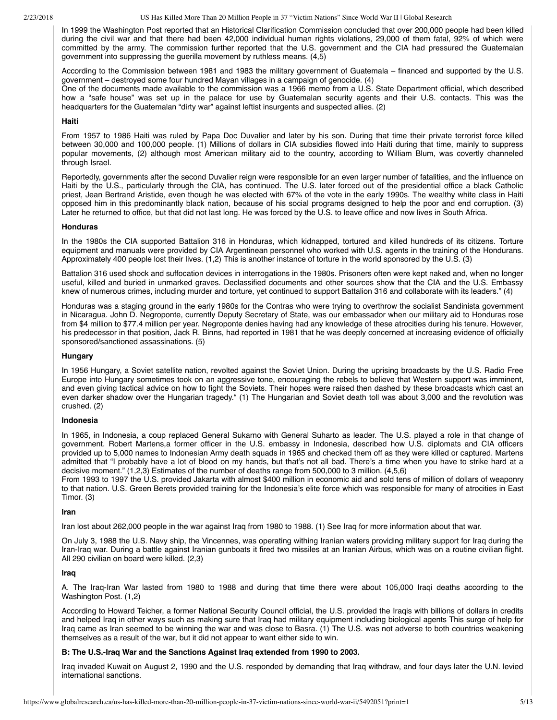In 1999 the Washington Post reported that an Historical Clarification Commission concluded that over 200,000 people had been killed during the civil war and that there had been 42,000 individual human rights violations, 29,000 of them fatal, 92% of which were committed by the army. The commission further reported that the U.S. government and the CIA had pressured the Guatemalan government into suppressing the guerilla movement by ruthless means. (4,5)

According to the Commission between 1981 and 1983 the military government of Guatemala – financed and supported by the U.S. government – destroyed some four hundred Mayan villages in a campaign of genocide. (4)

One of the documents made available to the commission was a 1966 memo from a U.S. State Department official, which described how a "safe house" was set up in the palace for use by Guatemalan security agents and their U.S. contacts. This was the headquarters for the Guatemalan "dirty war" against leftist insurgents and suspected allies. (2)

## **Haiti**

From 1957 to 1986 Haiti was ruled by Papa Doc Duvalier and later by his son. During that time their private terrorist force killed between 30,000 and 100,000 people. (1) Millions of dollars in CIA subsidies flowed into Haiti during that time, mainly to suppress popular movements, (2) although most American military aid to the country, according to William Blum, was covertly channeled through Israel.

Reportedly, governments after the second Duvalier reign were responsible for an even larger number of fatalities, and the influence on Haiti by the U.S., particularly through the CIA, has continued. The U.S. later forced out of the presidential office a black Catholic priest, Jean Bertrand Aristide, even though he was elected with 67% of the vote in the early 1990s. The wealthy white class in Haiti opposed him in this predominantly black nation, because of his social programs designed to help the poor and end corruption. (3) Later he returned to office, but that did not last long. He was forced by the U.S. to leave office and now lives in South Africa.

## **Honduras**

In the 1980s the CIA supported Battalion 316 in Honduras, which kidnapped, tortured and killed hundreds of its citizens. Torture equipment and manuals were provided by CIA Argentinean personnel who worked with U.S. agents in the training of the Hondurans. Approximately 400 people lost their lives. (1,2) This is another instance of torture in the world sponsored by the U.S. (3)

Battalion 316 used shock and suffocation devices in interrogations in the 1980s. Prisoners often were kept naked and, when no longer useful, killed and buried in unmarked graves. Declassified documents and other sources show that the CIA and the U.S. Embassy knew of numerous crimes, including murder and torture, yet continued to support Battalion 316 and collaborate with its leaders." (4)

Honduras was a staging ground in the early 1980s for the Contras who were trying to overthrow the socialist Sandinista government in Nicaragua. John D. Negroponte, currently Deputy Secretary of State, was our embassador when our military aid to Honduras rose from \$4 million to \$77.4 million per year. Negroponte denies having had any knowledge of these atrocities during his tenure. However, his predecessor in that position, Jack R. Binns, had reported in 1981 that he was deeply concerned at increasing evidence of officially sponsored/sanctioned assassinations. (5)

## **Hungary**

In 1956 Hungary, a Soviet satellite nation, revolted against the Soviet Union. During the uprising broadcasts by the U.S. Radio Free Europe into Hungary sometimes took on an aggressive tone, encouraging the rebels to believe that Western support was imminent, and even giving tactical advice on how to fight the Soviets. Their hopes were raised then dashed by these broadcasts which cast an even darker shadow over the Hungarian tragedy." (1) The Hungarian and Soviet death toll was about 3,000 and the revolution was crushed. (2)

## **Indonesia**

In 1965, in Indonesia, a coup replaced General Sukarno with General Suharto as leader. The U.S. played a role in that change of government. Robert Martens,a former officer in the U.S. embassy in Indonesia, described how U.S. diplomats and CIA officers provided up to 5,000 names to Indonesian Army death squads in 1965 and checked them off as they were killed or captured. Martens admitted that "I probably have a lot of blood on my hands, but that's not all bad. There's a time when you have to strike hard at a decisive moment." (1,2,3) Estimates of the number of deaths range from 500,000 to 3 million. (4,5,6)

From 1993 to 1997 the U.S. provided Jakarta with almost \$400 million in economic aid and sold tens of million of dollars of weaponry to that nation. U.S. Green Berets provided training for the Indonesia's elite force which was responsible for many of atrocities in East Timor. (3)

#### **Iran**

Iran lost about 262,000 people in the war against Iraq from 1980 to 1988. (1) See Iraq for more information about that war.

On July 3, 1988 the U.S. Navy ship, the Vincennes, was operating withing Iranian waters providing military support for Iraq during the Iran-Iraq war. During a battle against Iranian gunboats it fired two missiles at an Iranian Airbus, which was on a routine civilian flight. All 290 civilian on board were killed. (2,3)

#### **Iraq**

A. The Iraq-Iran War lasted from 1980 to 1988 and during that time there were about 105,000 Iraqi deaths according to the Washington Post. (1,2)

According to Howard Teicher, a former National Security Council official, the U.S. provided the Iraqis with billions of dollars in credits and helped Iraq in other ways such as making sure that Iraq had military equipment including biological agents This surge of help for Iraq came as Iran seemed to be winning the war and was close to Basra. (1) The U.S. was not adverse to both countries weakening themselves as a result of the war, but it did not appear to want either side to win.

## **B: The U.S.-Iraq War and the Sanctions Against Iraq extended from 1990 to 2003.**

Iraq invaded Kuwait on August 2, 1990 and the U.S. responded by demanding that Iraq withdraw, and four days later the U.N. levied international sanctions.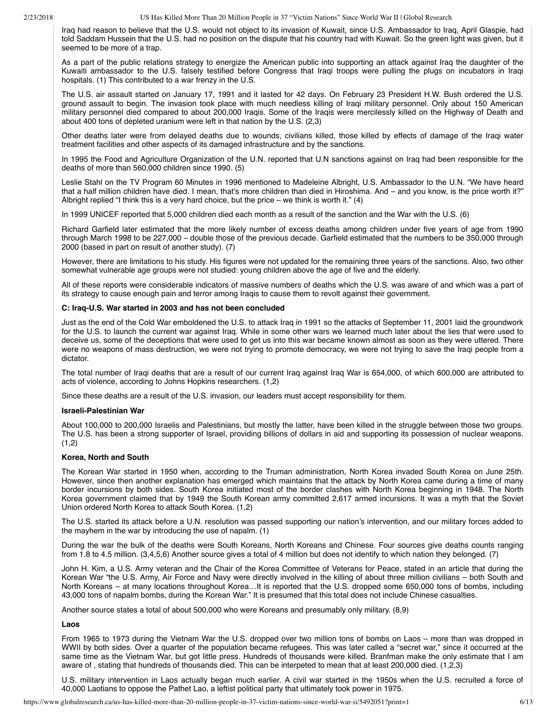Iraq had reason to believe that the U.S. would not object to its invasion of Kuwait, since U.S. Ambassador to Iraq, April Glaspie, had told Saddam Hussein that the U.S. had no position on the dispute that his country had with Kuwait. So the green light was given, but it seemed to be more of a trap.

As a part of the public relations strategy to energize the American public into supporting an attack against Iraq the daughter of the Kuwaiti ambassador to the U.S. falsely testified before Congress that Iraqi troops were pulling the plugs on incubators in Iraqi hospitals. (1) This contributed to a war frenzy in the U.S.

The U.S. air assault started on January 17, 1991 and it lasted for 42 days. On February 23 President H.W. Bush ordered the U.S. ground assault to begin. The invasion took place with much needless killing of Iraqi military personnel. Only about 150 American military personnel died compared to about 200,000 Iraqis. Some of the Iraqis were mercilessly killed on the Highway of Death and about 400 tons of depleted uranium were left in that nation by the U.S. (2,3)

Other deaths later were from delayed deaths due to wounds, civilians killed, those killed by effects of damage of the Iraqi water treatment facilities and other aspects of its damaged infrastructure and by the sanctions.

In 1995 the Food and Agriculture Organization of the U.N. reported that U.N sanctions against on Iraq had been responsible for the deaths of more than 560,000 children since 1990. (5)

Leslie Stahl on the TV Program 60 Minutes in 1996 mentioned to Madeleine Albright, U.S. Ambassador to the U.N. "We have heard that a half million children have died. I mean, that's more children than died in Hiroshima. And – and you know, is the price worth it?" Albright replied "I think this is a very hard choice, but the price – we think is worth it."  $(4)$ 

In 1999 UNICEF reported that 5,000 children died each month as a result of the sanction and the War with the U.S. (6)

Richard Garfield later estimated that the more likely number of excess deaths among children under five years of age from 1990 through March 1998 to be 227,000 – double those of the previous decade. Garfield estimated that the numbers to be 350,000 through 2000 (based in part on result of another study). (7)

However, there are limitations to his study. His figures were not updated for the remaining three years of the sanctions. Also, two other somewhat vulnerable age groups were not studied: young children above the age of five and the elderly.

All of these reports were considerable indicators of massive numbers of deaths which the U.S. was aware of and which was a part of its strategy to cause enough pain and terror among Iraqis to cause them to revolt against their government.

## **C: Iraq-U.S. War started in 2003 and has not been concluded**

Just as the end of the Cold War emboldened the U.S. to attack Iraq in 1991 so the attacks of September 11, 2001 laid the groundwork for the U.S. to launch the current war against Iraq. While in some other wars we learned much later about the lies that were used to deceive us, some of the deceptions that were used to get us into this war became known almost as soon as they were uttered. There were no weapons of mass destruction, we were not trying to promote democracy, we were not trying to save the Iraqi people from a dictator.

The total number of Iraqi deaths that are a result of our current Iraq against Iraq War is 654,000, of which 600,000 are attributed to acts of violence, according to Johns Hopkins researchers. (1,2)

Since these deaths are a result of the U.S. invasion, our leaders must accept responsibility for them.

## **Israeli-Palestinian War**

About 100,000 to 200,000 Israelis and Palestinians, but mostly the latter, have been killed in the struggle between those two groups. The U.S. has been a strong supporter of Israel, providing billions of dollars in aid and supporting its possession of nuclear weapons.  $(1,2)$ 

## **Korea, North and South**

The Korean War started in 1950 when, according to the Truman administration, North Korea invaded South Korea on June 25th. However, since then another explanation has emerged which maintains that the attack by North Korea came during a time of many border incursions by both sides. South Korea initiated most of the border clashes with North Korea beginning in 1948. The North Korea government claimed that by 1949 the South Korean army committed 2,617 armed incursions. It was a myth that the Soviet Union ordered North Korea to attack South Korea. (1,2)

The U.S. started its attack before a U.N. resolution was passed supporting our nation's intervention, and our military forces added to the mayhem in the war by introducing the use of napalm. (1)

During the war the bulk of the deaths were South Koreans, North Koreans and Chinese. Four sources give deaths counts ranging from 1.8 to 4.5 million. (3,4,5,6) Another source gives a total of 4 million but does not identify to which nation they belonged. (7)

John H. Kim, a U.S. Army veteran and the Chair of the Korea Committee of Veterans for Peace, stated in an article that during the Korean War "the U.S. Army, Air Force and Navy were directly involved in the killing of about three million civilians – both South and North Koreans – at many locations throughout Korea…It is reported that the U.S. dropped some 650,000 tons of bombs, including 43,000 tons of napalm bombs, during the Korean War." It is presumed that this total does not include Chinese casualties.

Another source states a total of about 500,000 who were Koreans and presumably only military. (8,9)

# **Laos**

From 1965 to 1973 during the Vietnam War the U.S. dropped over two million tons of bombs on Laos – more than was dropped in WWII by both sides. Over a quarter of the population became refugees. This was later called a "secret war," since it occurred at the same time as the Vietnam War, but got little press. Hundreds of thousands were killed. Branfman make the only estimate that I am aware of , stating that hundreds of thousands died. This can be interpeted to mean that at least 200,000 died. (1,2,3)

U.S. military intervention in Laos actually began much earlier. A civil war started in the 1950s when the U.S. recruited a force of 40,000 Laotians to oppose the Pathet Lao, a leftist political party that ultimately took power in 1975.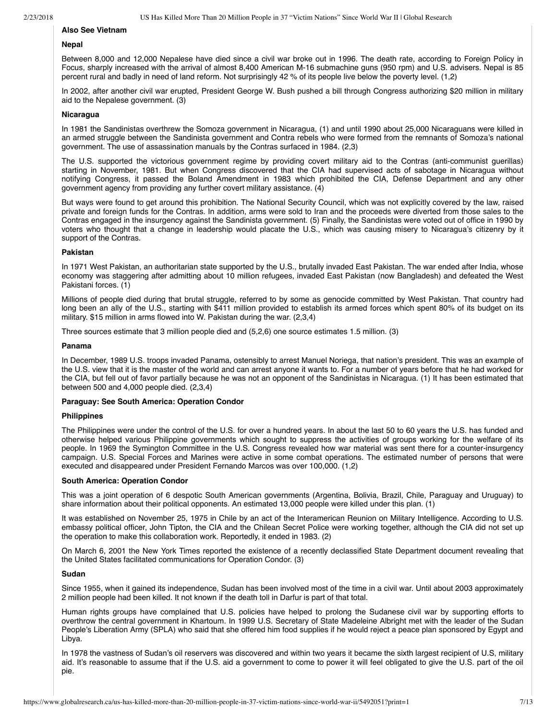# **Also See Vietnam**

# **Nepal**

Between 8,000 and 12,000 Nepalese have died since a civil war broke out in 1996. The death rate, according to Foreign Policy in Focus, sharply increased with the arrival of almost 8,400 American M-16 submachine guns (950 rpm) and U.S. advisers. Nepal is 85 percent rural and badly in need of land reform. Not surprisingly 42 % of its people live below the poverty level. (1,2)

In 2002, after another civil war erupted, President George W. Bush pushed a bill through Congress authorizing \$20 million in military aid to the Nepalese government. (3)

## **Nicaragua**

In 1981 the Sandinistas overthrew the Somoza government in Nicaragua, (1) and until 1990 about 25,000 Nicaraguans were killed in an armed struggle between the Sandinista government and Contra rebels who were formed from the remnants of Somoza's national government. The use of assassination manuals by the Contras surfaced in 1984. (2,3)

The U.S. supported the victorious government regime by providing covert military aid to the Contras (anti-communist guerillas) starting in November, 1981. But when Congress discovered that the CIA had supervised acts of sabotage in Nicaragua without notifying Congress, it passed the Boland Amendment in 1983 which prohibited the CIA, Defense Department and any other government agency from providing any further covert military assistance. (4)

But ways were found to get around this prohibition. The National Security Council, which was not explicitly covered by the law, raised private and foreign funds for the Contras. In addition, arms were sold to Iran and the proceeds were diverted from those sales to the Contras engaged in the insurgency against the Sandinista government. (5) Finally, the Sandinistas were voted out of office in 1990 by voters who thought that a change in leadership would placate the U.S., which was causing misery to Nicaragua's citizenry by it support of the Contras.

## **Pakistan**

In 1971 West Pakistan, an authoritarian state supported by the U.S., brutally invaded East Pakistan. The war ended after India, whose economy was staggering after admitting about 10 million refugees, invaded East Pakistan (now Bangladesh) and defeated the West Pakistani forces. (1)

Millions of people died during that brutal struggle, referred to by some as genocide committed by West Pakistan. That country had long been an ally of the U.S., starting with \$411 million provided to establish its armed forces which spent 80% of its budget on its military. \$15 million in arms flowed into W. Pakistan during the war. (2,3,4)

Three sources estimate that 3 million people died and (5,2,6) one source estimates 1.5 million. (3)

#### **Panama**

In December, 1989 U.S. troops invaded Panama, ostensibly to arrest Manuel Noriega, that nation's president. This was an example of the U.S. view that it is the master of the world and can arrest anyone it wants to. For a number of years before that he had worked for the CIA, but fell out of favor partially because he was not an opponent of the Sandinistas in Nicaragua. (1) It has been estimated that between 500 and 4,000 people died. (2,3,4)

## **Paraguay: See South America: Operation Condor**

#### **Philippines**

The Philippines were under the control of the U.S. for over a hundred years. In about the last 50 to 60 years the U.S. has funded and otherwise helped various Philippine governments which sought to suppress the activities of groups working for the welfare of its people. In 1969 the Symington Committee in the U.S. Congress revealed how war material was sent there for a counter-insurgency campaign. U.S. Special Forces and Marines were active in some combat operations. The estimated number of persons that were executed and disappeared under President Fernando Marcos was over 100,000. (1,2)

#### **South America: Operation Condor**

This was a joint operation of 6 despotic South American governments (Argentina, Bolivia, Brazil, Chile, Paraguay and Uruguay) to share information about their political opponents. An estimated 13,000 people were killed under this plan. (1)

It was established on November 25, 1975 in Chile by an act of the Interamerican Reunion on Military Intelligence. According to U.S. embassy political officer, John Tipton, the CIA and the Chilean Secret Police were working together, although the CIA did not set up the operation to make this collaboration work. Reportedly, it ended in 1983. (2)

On March 6, 2001 the New York Times reported the existence of a recently declassified State Department document revealing that the United States facilitated communications for Operation Condor. (3)

#### **Sudan**

Since 1955, when it gained its independence, Sudan has been involved most of the time in a civil war. Until about 2003 approximately 2 million people had been killed. It not known if the death toll in Darfur is part of that total.

Human rights groups have complained that U.S. policies have helped to prolong the Sudanese civil war by supporting efforts to overthrow the central government in Khartoum. In 1999 U.S. Secretary of State Madeleine Albright met with the leader of the Sudan People's Liberation Army (SPLA) who said that she offered him food supplies if he would reject a peace plan sponsored by Egypt and Libya.

In 1978 the vastness of Sudan's oil reservers was discovered and within two years it became the sixth largest recipient of U.S, military aid. It's reasonable to assume that if the U.S. aid a government to come to power it will feel obligated to give the U.S. part of the oil pie.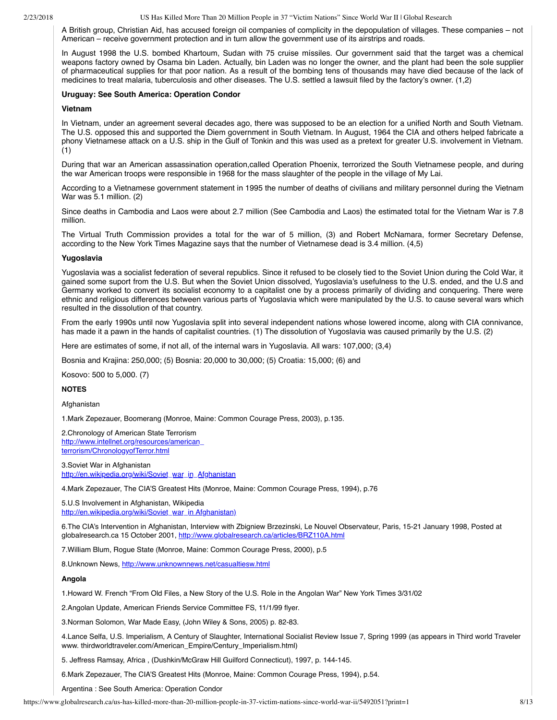A British group, Christian Aid, has accused foreign oil companies of complicity in the depopulation of villages. These companies – not American – receive government protection and in turn allow the government use of its airstrips and roads.

In August 1998 the U.S. bombed Khartoum, Sudan with 75 cruise míssiles. Our government said that the target was a chemical weapons factory owned by Osama bin Laden. Actually, bin Laden was no longer the owner, and the plant had been the sole supplier of pharmaceutical supplies for that poor nation. As a result of the bombing tens of thousands may have died because of the lack of medicines to treat malaria, tuberculosis and other diseases. The U.S. settled a lawsuit filed by the factory's owner. (1,2)

## **Uruguay: See South America: Operation Condor**

## **Vietnam**

In Vietnam, under an agreement several decades ago, there was supposed to be an election for a unified North and South Vietnam. The U.S. opposed this and supported the Diem government in South Vietnam. In August, 1964 the CIA and others helped fabricate a phony Vietnamese attack on a U.S. ship in the Gulf of Tonkin and this was used as a pretext for greater U.S. involvement in Vietnam. (1)

During that war an American assassination operation,called Operation Phoenix, terrorized the South Vietnamese people, and during the war American troops were responsible in 1968 for the mass slaughter of the people in the village of My Lai.

According to a Vietnamese government statement in 1995 the number of deaths of civilians and military personnel during the Vietnam War was 5.1 million. (2)

Since deaths in Cambodia and Laos were about 2.7 million (See Cambodia and Laos) the estimated total for the Vietnam War is 7.8 million.

The Virtual Truth Commission provides a total for the war of 5 million, (3) and Robert McNamara, former Secretary Defense, according to the New York Times Magazine says that the number of Vietnamese dead is 3.4 million. (4,5)

## **Yugoslavia**

Yugoslavia was a socialist federation of several republics. Since it refused to be closely tied to the Soviet Union during the Cold War, it gained some suport from the U.S. But when the Soviet Union dissolved, Yugoslavia's usefulness to the U.S. ended, and the U.S and Germany worked to convert its socialist economy to a capitalist one by a process primarily of dividing and conquering. There were ethnic and religious differences between various parts of Yugoslavia which were manipulated by the U.S. to cause several wars which resulted in the dissolution of that country.

From the early 1990s until now Yugoslavia split into several independent nations whose lowered income, along with CIA connivance, has made it a pawn in the hands of capitalist countries. (1) The dissolution of Yugoslavia was caused primarily by the U.S. (2)

Here are estimates of some, if not all, of the internal wars in Yugoslavia. All wars: 107,000; (3,4)

Bosnia and Krajina: 250,000; (5) Bosnia: 20,000 to 30,000; (5) Croatia: 15,000; (6) and

Kosovo: 500 to 5,000. (7)

# **NOTES**

Afghanistan

1.Mark Zepezauer, Boomerang (Monroe, Maine: Common Courage Press, 2003), p.135.

2.Chronology of American State Terrorism [http://www.intellnet.org/resources/american\\_](http://www.intellnet.org/resources/american_terrorism/ChronologyofTerror.html%20) terrorism/ChronologyofTerror.html

3.Soviet War in Afghanistan [http://en.wikipedia.org/wiki/Soviet\\_war\\_in\\_Afghanistan](http://en.wikipedia.org/wiki/Soviet_war_in_Afghanistan%20)

4.Mark Zepezauer, The CIA'S Greatest Hits (Monroe, Maine: Common Courage Press, 1994), p.76

5.U.S Involvement in Afghanistan, Wikipedia [http://en.wikipedia.org/wiki/Soviet\\_war\\_in Afghanistan\)](http://en.wikipedia.org/wiki/Soviet_war_in%20Afghanistan)%20)

6.The CIA's Intervention in Afghanistan, Interview with Zbigniew Brzezinski, Le Nouvel Observateur, Paris, 15-21 January 1998, Posted at globalresearch.ca 15 October 2001, [http://www.globalresearch.ca/articles/BRZ110A.html](http://www.globalresearch.ca/articles/BRZ110A.html%20)

7.William Blum, Rogue State (Monroe, Maine: Common Courage Press, 2000), p.5

8.Unknown News,<http://www.unknownnews.net/casualtiesw.html>

## **Angola**

1.Howard W. French "From Old Files, a New Story of the U.S. Role in the Angolan War" New York Times 3/31/02

2.Angolan Update, American Friends Service Committee FS, 11/1/99 flyer.

3.Norman Solomon, War Made Easy, (John Wiley & Sons, 2005) p. 82-83.

4.Lance Selfa, U.S. Imperialism, A Century of Slaughter, International Socialist Review Issue 7, Spring 1999 (as appears in Third world Traveler www. thirdworldtraveler.com/American\_Empire/Century\_Imperialism.html)

5. Jeffress Ramsay, Africa , (Dushkin/McGraw Hill Guilford Connecticut), 1997, p. 144-145.

6.Mark Zepezauer, The CIA'S Greatest Hits (Monroe, Maine: Common Courage Press, 1994), p.54.

Argentina : See South America: Operation Condor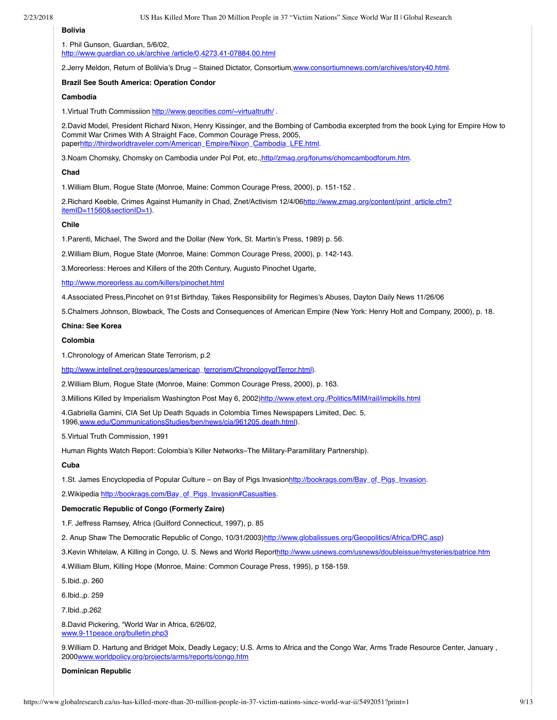# **Bolivia**

1. Phil Gunson, Guardian, 5/6/02, [http://www.guardian.co.uk/archive /article/0,4273,41-07884,00.html](http://www.guardian.co.uk/archive%20/article/0,4273,41-07884,00.html)

2.Jerry Meldon, Return of Bolilvia's Drug – Stained Dictator, Consortium[,www.consortiumnews.com/archives/story40.html.](http://www.consortiumnews.com/archives/story40.html)

#### **Brazil See South America: Operation Condor**

#### **Cambodia**

1.Virtual Truth Commissiion <http://www.geocities.com/~virtualtruth/> .

2.David Model, President Richard Nixon, Henry Kissinger, and the Bombing of Cambodia excerpted from the book Lying for Empire How to Commit War Crimes With A Straight Face, Common Courage Press, 2005, pape[rhttp://thirdworldtraveler.com/American\\_Empire/Nixon\\_Cambodia\\_LFE.html.](http://thirdworldtraveler.com/American_Empire/Nixon_Cambodia_LFE.html)

3. Noam Chomsky, Chomsky on Cambodia under Pol Pot, etc., [http//zmag.org/forums/chomcambodforum.htm](http://www.countercurrents.org/http//zmag.org/forums/chomcambodforum.htm).

#### **Chad**

1.William Blum, Rogue State (Monroe, Maine: Common Courage Press, 2000), p. 151-152 .

[2.Richard Keeble, Crimes Against Humanity in Chad, Znet/Activism 12/4/06http://www.zmag.org/content/print\\_article.cfm?](http://www.zmag.org/content/print_article.cfm?itemID=11560§ionID=1) itemID=11560&sectionID=1).

## **Chile**

1.Parenti, Michael, The Sword and the Dollar (New York, St. Martin's Press, 1989) p. 56.

2.William Blum, Rogue State (Monroe, Maine: Common Courage Press, 2000), p. 142-143.

3.Moreorless: Heroes and Killers of the 20th Century, Augusto Pinochet Ugarte,

[http://www.moreorless.au.com/killers/pinochet.html](http://www.moreorless.au.com/killers/pinochet.html%20)

4.Associated Press,Pincohet on 91st Birthday, Takes Responsibility for Regimes's Abuses, Dayton Daily News 11/26/06

5.Chalmers Johnson, Blowback, The Costs and Consequences of American Empire (New York: Henry Holt and Company, 2000), p. 18.

#### **China: See Korea**

## **Colombia**

1.Chronology of American State Terrorism, p.2

[http://www.intellnet.org/resources/american\\_terrorism/ChronologyofTerror.html\).](http://www.intellnet.org/resources/american_terrorism/ChronologyofTerror.html))

2.William Blum, Rogue State (Monroe, Maine: Common Courage Press, 2000), p. 163.

3.Millions Killed by Imperialism Washington Post May 6, 2002)[http://www.etext.org./Politics/MIM/rail/impkills.html](http://www.etext.org./Politics/MIM/rail/impkills.html%20)

4.Gabriella Gamini, CIA Set Up Death Squads in Colombia Times Newspapers Limited, Dec. 5, 1996,[www.edu/CommunicationsStudies/ben/news/cia/961205.death.html\)](http://www.edu/CommunicationsStudies/ben/news/cia/961205.death.html).

5.Virtual Truth Commission, 1991

Human Rights Watch Report: Colombia's Killer Networks–The Military-Paramilitary Partnership).

## **Cuba**

1.St. James Encyclopedia of Popular Culture – on Bay of Pigs Invasion[http://bookrags.com/Bay\\_of\\_Pigs\\_Invasion.](http://bookrags.com/Bay_of_Pigs_Invasion)

2. Wikipedia [http://bookrags.com/Bay\\_of\\_Pigs\\_Invasion#Casualties](http://bookrags.com/Bay_of_Pigs_Invasion#Casualties).

# **Democratic Republic of Congo (Formerly Zaire)**

1.F. Jeffress Ramsey, Africa (Guilford Connecticut, 1997), p. 85

2. Anup Shaw The Democratic Republic of Congo, 10/31/2003[\)http://www.globalissues.org/Geopolitics/Africa/DRC.asp](http://www.globalissues.org/Geopolitics/Africa/DRC.asp))

3.Kevin Whitelaw, A Killing in Congo, U. S. News and World Repor[thttp://www.usnews.com/usnews/doubleissue/mysteries/patrice.htm](http://www.usnews.com/usnews/doubleissue/mysteries/patrice.htm%20)

4.William Blum, Killing Hope (Monroe, Maine: Common Courage Press, 1995), p 158-159.

5.Ibid.,p. 260

6.Ibid.,p. 259

7.Ibid.,p.262

8.David Pickering, "World War in Africa, 6/26/02, [www.9-11peace.org/bulletin.php3](http://www.9-11peace.org/bulletin.php3)

9.William D. Hartung and Bridget Moix, Deadly Legacy; U.S. Arms to Africa and the Congo War, Arms Trade Resource Center, January , 2000[www.worldpolicy.org/projects/arms/reports/congo.htm](http://www.worldpolicy.org/projects/arms/reports/congo.htm)

**Dominican Republic**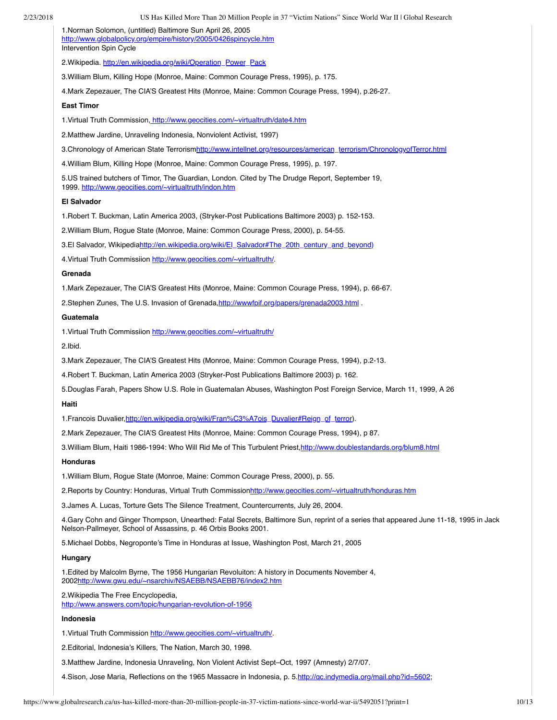| 2/23/2018 | US Has Killed More Than 20 Million People in 37 "Victim Nations" Since World War II   Global Research                                                                                                   |
|-----------|---------------------------------------------------------------------------------------------------------------------------------------------------------------------------------------------------------|
|           | 1. Norman Solomon, (untitled) Baltimore Sun April 26, 2005<br>http://www.globalpolicy.org/empire/history/2005/0426spincycle.htm<br>Intervention Spin Cycle                                              |
|           | 2. Wikipedia. http://en.wikipedia.org/wiki/Operation Power Pack                                                                                                                                         |
|           | 3. William Blum, Killing Hope (Monroe, Maine: Common Courage Press, 1995), p. 175.                                                                                                                      |
|           | 4. Mark Zepezauer, The CIA'S Greatest Hits (Monroe, Maine: Common Courage Press, 1994), p.26-27.                                                                                                        |
|           | <b>East Timor</b>                                                                                                                                                                                       |
|           | 1. Virtual Truth Commission, http://www.geocities.com/~virtualtruth/date4.htm                                                                                                                           |
|           | 2. Matthew Jardine, Unraveling Indonesia, Nonviolent Activist, 1997)                                                                                                                                    |
|           | 3. Chronology of American State Terrorismhttp://www.intellnet.org/resources/american_terrorism/ChronologyofTerror.html                                                                                  |
|           | 4. William Blum, Killing Hope (Monroe, Maine: Common Courage Press, 1995), p. 197.                                                                                                                      |
|           | 5.US trained butchers of Timor, The Guardian, London. Cited by The Drudge Report, September 19,<br>1999. http://www.geocities.com/~virtualtruth/indon.htm                                               |
|           | <b>El Salvador</b>                                                                                                                                                                                      |
|           | 1. Robert T. Buckman, Latin America 2003, (Stryker-Post Publications Baltimore 2003) p. 152-153.                                                                                                        |
|           | 2. William Blum, Rogue State (Monroe, Maine: Common Courage Press, 2000), p. 54-55.                                                                                                                     |
|           | 3. El Salvador, Wikipediahttp://en.wikipedia.org/wiki/El Salvador#The 20th century and beyond)                                                                                                          |
|           | 4. Virtual Truth Commissiion http://www.geocities.com/~virtualtruth/                                                                                                                                    |
|           | Grenada                                                                                                                                                                                                 |
|           | 1. Mark Zepezauer, The CIA'S Greatest Hits (Monroe, Maine: Common Courage Press, 1994), p. 66-67.                                                                                                       |
|           | 2. Stephen Zunes, The U.S. Invasion of Grenada, http://wwwfpif.org/papers/grenada2003.html                                                                                                              |
|           | Guatemala                                                                                                                                                                                               |
|           | 1. Virtual Truth Commissiion http://www.geocities.com/~virtualtruth/                                                                                                                                    |
|           | 2.Ibid.                                                                                                                                                                                                 |
|           | 3. Mark Zepezauer, The CIA'S Greatest Hits (Monroe, Maine: Common Courage Press, 1994), p.2-13.                                                                                                         |
|           | 4. Robert T. Buckman, Latin America 2003 (Stryker-Post Publications Baltimore 2003) p. 162.                                                                                                             |
|           | 5. Douglas Farah, Papers Show U.S. Role in Guatemalan Abuses, Washington Post Foreign Service, March 11, 1999, A 26<br>Haiti                                                                            |
|           | 1. Francois Duvalier, http://en.wikipedia.org/wiki/Fran%C3%A7ois_Duvalier#Reign_of_terror).                                                                                                             |
|           | 2. Mark Zepezauer, The CIA'S Greatest Hits (Monroe, Maine: Common Courage Press, 1994), p 87.                                                                                                           |
|           | 3. William Blum, Haiti 1986-1994: Who Will Rid Me of This Turbulent Priest, http://www.doublestandards.org/blum8.html                                                                                   |
|           | Honduras                                                                                                                                                                                                |
|           | 1. William Blum, Rogue State (Monroe, Maine: Common Courage Press, 2000), p. 55.                                                                                                                        |
|           | 2. Reports by Country: Honduras, Virtual Truth Commissionhttp://www.geocities.com/~virtualtruth/honduras.htm                                                                                            |
|           | 3. James A. Lucas, Torture Gets The Silence Treatment, Countercurrents, July 26, 2004.                                                                                                                  |
|           | 4. Gary Cohn and Ginger Thompson, Unearthed: Fatal Secrets, Baltimore Sun, reprint of a series that appeared June 11-18, 1995 in Jack<br>Nelson-Pallmeyer, School of Assassins, p. 46 Orbis Books 2001. |
|           | 5. Michael Dobbs, Negroponte's Time in Honduras at Issue, Washington Post, March 21, 2005                                                                                                               |
|           | Hungary                                                                                                                                                                                                 |
|           | 1. Edited by Malcolm Byrne, The 1956 Hungarian Revoluiton: A history in Documents November 4,<br>2002http://www.gwu.edu/~nsarchiv/NSAEBB/NSAEBB76/index2.htm                                            |
|           | 2. Wikipedia The Free Encyclopedia,<br>http://www.answers.com/topic/hungarian-revolution-of-1956                                                                                                        |
|           | Indonesia                                                                                                                                                                                               |
|           | 1. Virtual Truth Commission http://www.geocities.com/~virtualtruth/                                                                                                                                     |
|           | 2. Editorial, Indonesia's Killers, The Nation, March 30, 1998.                                                                                                                                          |
|           | 3. Matthew Jardine, Indonesia Unraveling, Non Violent Activist Sept-Oct, 1997 (Amnesty) 2/7/07.                                                                                                         |
|           | 4. Sison, Jose Maria, Reflections on the 1965 Massacre in Indonesia, p. 5. http://qc.indymedia.org/mail.php?id=5602;                                                                                    |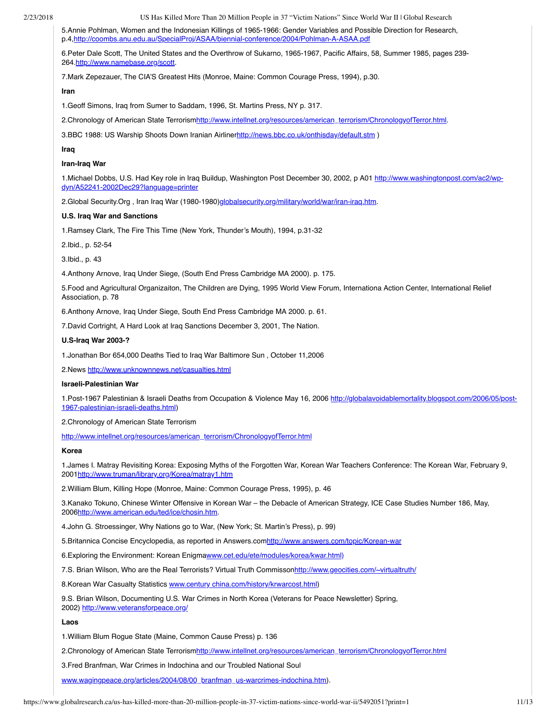5.Annie Pohlman, Women and the Indonesian Killings of 1965-1966: Gender Variables and Possible Direction for Research, p.4[,http://coombs.anu.edu.au/SpecialProj/ASAA/biennial-conference/2004/Pohlman-A-ASAA.pdf](http://coombs.anu.edu.au/SpecialProj/ASAA/biennial-)

6.Peter Dale Scott, The United States and the Overthrow of Sukarno, 1965-1967, Pacific Affairs, 58, Summer 1985, pages 239- 264[.http://www.namebase.org/scott](http://www.namebase.org/scott).

7.Mark Zepezauer, The CIA'S Greatest Hits (Monroe, Maine: Common Courage Press, 1994), p.30.

## **Iran**

1.Geoff Simons, Iraq from Sumer to Saddam, 1996, St. Martins Press, NY p. 317.

2.Chronology of American State Terrorism[http://www.intellnet.org/resources/american\\_terrorism/ChronologyofTerror.html](http://www.intellnet.org/resources/american_terrorism/ChronologyofTerror.html).

3.BBC 1988: US Warship Shoots Down Iranian Airliner<http://news.bbc.co.uk/onthisday/default.stm> )

# **Iraq**

## **Iran-Iraq War**

[1.Michael Dobbs, U.S. Had Key role in Iraq Buildup, Washington Post December 30, 2002, p A01 http://www.washingtonpost.com/ac2/wp](http://www.washingtonpost.com/ac2/wp-dyn/A52241-2002Dec29?language=printer)dyn/A52241-2002Dec29?language=printer

2.Global Security.Org , Iran Iraq War (1980-1980)[globalsecurity.org/military/world/war/iran-iraq.htm.](http://www.globalsecurity.org/military/world/war/iran-iraq.htm)

#### **U.S. Iraq War and Sanctions**

1.Ramsey Clark, The Fire This Time (New York, Thunder's Mouth), 1994, p.31-32

2.Ibid., p. 52-54

3.Ibid., p. 43

4.Anthony Arnove, Iraq Under Siege, (South End Press Cambridge MA 2000). p. 175.

5.Food and Agricultural Organizaiton, The Children are Dying, 1995 World View Forum, Internationa Action Center, International Relief Association, p. 78

6.Anthony Arnove, Iraq Under Siege, South End Press Cambridge MA 2000. p. 61.

7.David Cortright, A Hard Look at Iraq Sanctions December 3, 2001, The Nation.

#### **U.S-Iraq War 2003-?**

1.Jonathan Bor 654,000 Deaths Tied to Iraq War Baltimore Sun , October 11,2006

2.News [http://www.unknownnews.net/casualties.html](http://www.unknownnews.net/casualties.html%20)

## **Israeli-Palestinian War**

[1.Post-1967 Palestinian & Israeli Deaths from Occupation & Violence May 16, 2006 http://globalavoidablemortality.blogspot.com/2006/05/post-](http://globalavoidablemortality.blogspot.com/2006/05/post-1967-palestinian-israeli-deaths.html)1967-palestinian-israeli-deaths.html)

2.Chronology of American State Terrorism

[http://www.intellnet.org/resources/american\\_terrorism/ChronologyofTerror.html](http://www.intellnet.org/resources/american_terrorism/ChronologyofTerror.html%20)

## **Korea**

1.James I. Matray Revisiting Korea: Exposing Myths of the Forgotten War, Korean War Teachers Conference: The Korean War, February 9, 2001<http://www.truman/library.org/Korea/matray1.htm>

2.William Blum, Killing Hope (Monroe, Maine: Common Courage Press, 1995), p. 46

3.Kanako Tokuno, Chinese Winter Offensive in Korean War – the Debacle of American Strategy, ICE Case Studies Number 186, May, 2006[http://www.american.edu/ted/ice/chosin.htm.](http://www.american.edu/ted/ice/chosin.htm)

4.John G. Stroessinger, Why Nations go to War, (New York; St. Martin's Press), p. 99)

5. Britannica Concise Encyclopedia, as reported in Answers.com[http://www.answers.com/topic/Korean-war](http://www.answers.com/topic/Korean-war%20)

6. Exploring the Environment: Korean Enigma[www.cet.edu/ete/modules/korea/kwar.html\)](http://www.cet.edu/ete/modules/korea/kwar.html)%20)

7.S. Brian Wilson, Who are the Real Terrorists? Virtual Truth Commisson<http://www.geocities.com/~virtualtruth/>

8. Korean War Casualty Statistics [www.century china.com/history/krwarcost.html\)](http://www.century%20china.com/history/krwarcost.html)

9.S. Brian Wilson, Documenting U.S. War Crimes in North Korea (Veterans for Peace Newsletter) Spring, 2002)<http://www.veteransforpeace.org/>

## **Laos**

1.William Blum Rogue State (Maine, Common Cause Press) p. 136

2.Chronology of American State Terrorism[http://www.intellnet.org/resources/american\\_terrorism/ChronologyofTerror.html](http://www.intellnet.org/resources/american_terrorism/ChronologyofTerror.html)

3.Fred Branfman, War Crimes in Indochina and our Troubled National Soul

[www.wagingpeace.org/articles/2004/08/00\\_branfman\\_us-warcrimes-indochina.htm\)](http://www.wagingpeace.org/articles/2004/08/00_branfman_us-warcrimes-indochina.htm).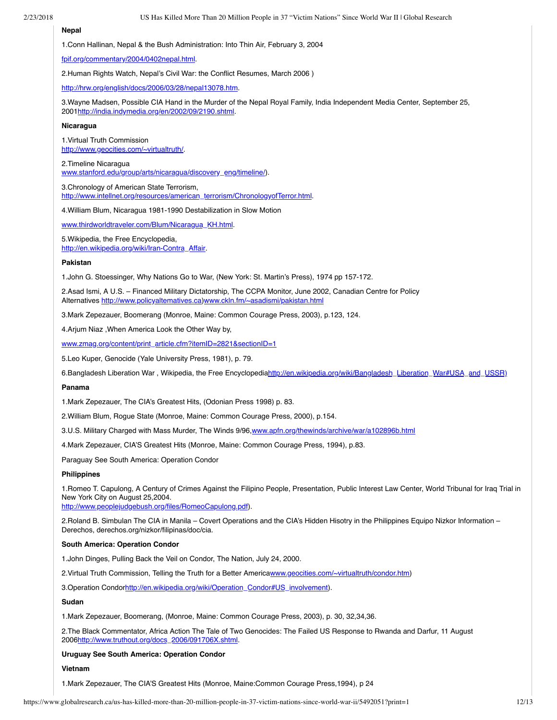#### **Nepal**

1.Conn Hallinan, Nepal & the Bush Administration: Into Thin Air, February 3, 2004

[fpif.org/commentary/2004/0402nepal.html.](http://www.fpif.org/commentary/2004/0402nepal.html)

2.Human Rights Watch, Nepal's Civil War: the Conflict Resumes, March 2006 )

[http://hrw.org/english/docs/2006/03/28/nepal13078.htm.](http://www.countercurrents.org/%20http://hrw.org/english/docs/2006/03/28/nepal13078.htm)

3.Wayne Madsen, Possible CIA Hand in the Murder of the Nepal Royal Family, India Independent Media Center, September 25, 2001[http://india.indymedia.org/en/2002/09/2190.shtml.](http://india.indymedia.org/en/2002/09/2190.shtml)

#### **Nicaragua**

1.Virtual Truth Commission [http://www.geocities.com/~virtualtruth/.](http://www.geocities.com/~virtualtruth/)

2.Timeline Nicaragua [www.stanford.edu/group/arts/nicaragua/discovery\\_eng/timeline/\)](http://www.stanford.edu/group/arts/nicaragua/discovery_eng/timeline/).

3.Chronology of American State Terrorism, [http://www.intellnet.org/resources/american\\_terrorism/ChronologyofTerror.html.](http://www.intellnet.org/resources/american_terrorism/ChronologyofTerror.html)

4.William Blum, Nicaragua 1981-1990 Destabilization in Slow Motion

[www.thirdworldtraveler.com/Blum/Nicaragua\\_KH.html](http://www.thirdworldtraveler.com/Blum/Nicaragua_KH.html).

5.Wikipedia, the Free Encyclopedia, [http://en.wikipedia.org/wiki/Iran-Contra\\_Affair.](http://en.wikipedia.org/wiki/Iran-Contra_Affair)

#### **Pakistan**

1.John G. Stoessinger, Why Nations Go to War, (New York: St. Martin's Press), 1974 pp 157-172.

2.Asad Ismi, A U.S. – Financed Military Dictatorship, The CCPA Monitor, June 2002, Canadian Centre for Policy Alternatives [http://www.policyaltematives.ca](http://www.policyaltematives.ca/)[\)www.ckln.fm/~asadismi/pakistan.html](http://www.ckln.fm/~asadismi/pakistan.html%20)

3.Mark Zepezauer, Boomerang (Monroe, Maine: Common Courage Press, 2003), p.123, 124.

4.Arjum Niaz ,When America Look the Other Way by,

[www.zmag.org/content/print\\_article.cfm?itemID=2821&sectionID=1](http://www.zmag.org/content/print_article.cfm?itemID=2821§ionID=1)

5.Leo Kuper, Genocide (Yale University Press, 1981), p. 79.

6.Bangladesh Liberation War, Wikipedia, the Free Encyclopedia[http://en.wikipedia.org/wiki/Bangladesh\\_Liberation\\_War#USA\\_and\\_USSR\)](http://en.wikipedia.org/wiki/Bangladesh_Liberation_War#USA_and_USSR)%20)

#### **Panama**

1.Mark Zepezauer, The CIA's Greatest Hits, (Odonian Press 1998) p. 83.

2.William Blum, Rogue State (Monroe, Maine: Common Courage Press, 2000), p.154.

3.U.S. Military Charged with Mass Murder, The Winds 9/96,[www.apfn.org/thewinds/archive/war/a102896b.html](http://www.apfn.org/thewinds/archive/war/a102896b.html)

4.Mark Zepezauer, CIA'S Greatest Hits (Monroe, Maine: Common Courage Press, 1994), p.83.

Paraguay See South America: Operation Condor

#### **Philippines**

1.Romeo T. Capulong, A Century of Crimes Against the Filipino People, Presentation, Public Interest Law Center, World Tribunal for Iraq Trial in New York City on August 25,2004.

[http://www.peoplejudgebush.org/files/RomeoCapulong.pdf\)](http://www.peoplejudgebush.org/).

2.Roland B. Simbulan The CIA in Manila – Covert Operations and the CIA's Hidden Hisotry in the Philippines Equipo Nizkor Information – Derechos, derechos.org/nizkor/filipinas/doc/cia.

#### **South America: Operation Condor**

1.John Dinges, Pulling Back the Veil on Condor, The Nation, July 24, 2000.

2. Virtual Truth Commission, Telling the Truth for a Better America[www.geocities.com/~virtualtruth/condor.htm](http://www.geocities.com/~virtualtruth/condor.htm))

3.Operation Condor[http://en.wikipedia.org/wiki/Operation\\_Condor#US\\_involvement](http://en.wikipedia.org/wiki/Operation_Condor#US_involvement)).

## **Sudan**

1.Mark Zepezauer, Boomerang, (Monroe, Maine: Common Courage Press, 2003), p. 30, 32,34,36.

2.The Black Commentator, Africa Action The Tale of Two Genocides: The Failed US Response to Rwanda and Darfur, 11 August 2006[http://www.truthout.org/docs\\_2006/091706X.shtml.](http://www.truthout.org/docs_2006/091706X.shtml)

## **Uruguay See South America: Operation Condor**

#### **Vietnam**

1.Mark Zepezauer, The CIA'S Greatest Hits (Monroe, Maine:Common Courage Press,1994), p 24